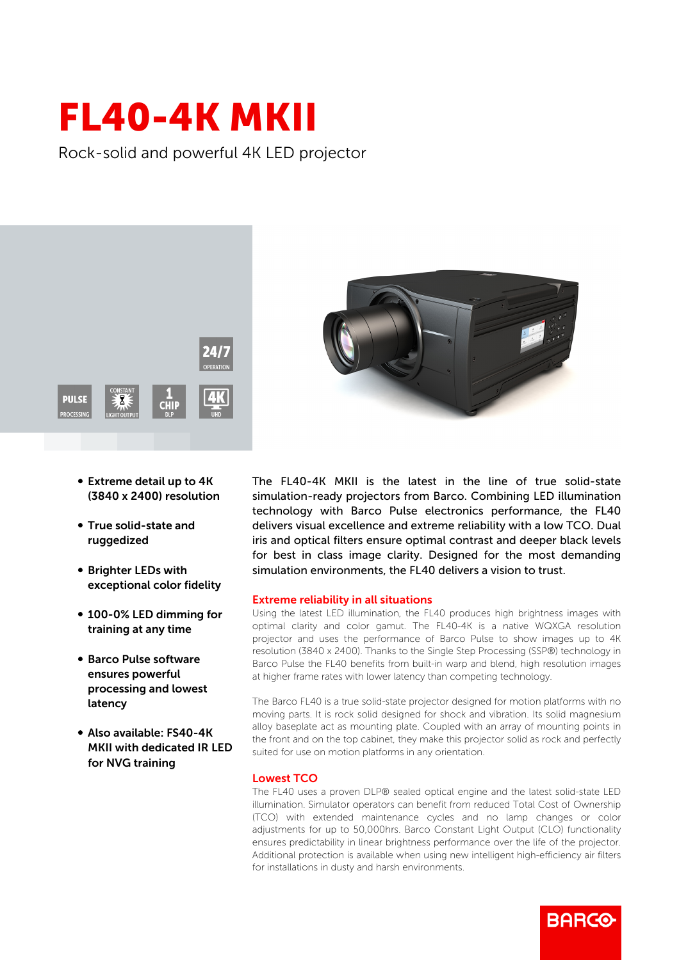## FL40-4K MKII

Rock-solid and powerful 4K LED projector



- Extreme detail up to 4K (3840 x 2400) resolution
- True solid-state and ruggedized
- **Brighter LEDs with** exceptional color fidelity
- 100-0% LED dimming for training at any time
- Barco Pulse software ensures powerful processing and lowest latency
- b Also available: FS40-4K MKII with dedicated IR LED for NVG training



The FL40-4K MKII is the latest in the line of true solid-state simulation-ready projectors from Barco. Combining LED illumination technology with Barco Pulse electronics performance, the FL40 delivers visual excellence and extreme reliability with a low TCO. Dual iris and optical filters ensure optimal contrast and deeper black levels for best in class image clarity. Designed for the most demanding simulation environments, the FL40 delivers a vision to trust.

## Extreme reliability in all situations

Using the latest LED illumination, the FL40 produces high brightness images with optimal clarity and color gamut. The FL40-4K is a native WQXGA resolution projector and uses the performance of Barco Pulse to show images up to 4K resolution (3840 x 2400). Thanks to the Single Step Processing (SSP®) technology in Barco Pulse the FL40 benefits from built-in warp and blend, high resolution images at higher frame rates with lower latency than competing technology.

The Barco FL40 is a true solid-state projector designed for motion platforms with no moving parts. It is rock solid designed for shock and vibration. Its solid magnesium alloy baseplate act as mounting plate. Coupled with an array of mounting points in the front and on the top cabinet, they make this projector solid as rock and perfectly suited for use on motion platforms in any orientation.

## Lowest TCO

The FL40 uses a proven DLP® sealed optical engine and the latest solid-state LED illumination. Simulator operators can benefit from reduced Total Cost of Ownership (TCO) with extended maintenance cycles and no lamp changes or color adjustments for up to 50,000hrs. Barco Constant Light Output (CLO) functionality ensures predictability in linear brightness performance over the life of the projector. Additional protection is available when using new intelligent high-efficiency air filters for installations in dusty and harsh environments.